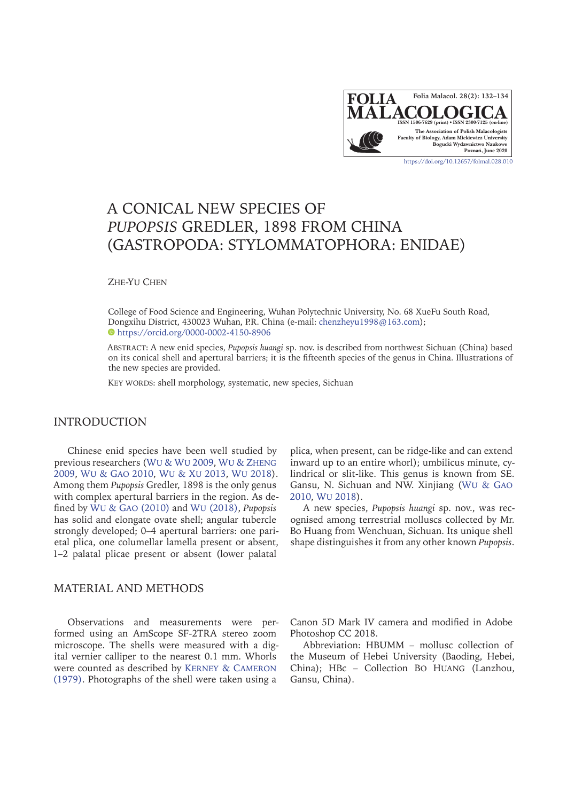

# A CONICAL NEW SPECIES OF *PUPOPSIS* GREDLER, 1898 FROM CHINA (GASTROPODA: STYLOMMATOPHORA: ENIDAE)

Zhe-Yu Chen

College of Food Science and Engineering, Wuhan Polytechnic University, No. 68 XueFu South Road, [Do](https://orcid.org/0000-0002-4150-8906)ngxihu District, 430023 Wuhan, P.R. China (e-mail: [chenzheyu1998@163.com\)](mailto:chenzheyu1998%40163.com?subject=Folia%20Malacologica); <https://orcid.org/0000-0002-4150-8906>

Abstract: A new enid species, *Pupopsis huangi* sp. nov. is described from northwest Sichuan (China) based on its conical shell and apertural barriers; it is the fifteenth species of the genus in China. Illustrations of the new species are provided.

KEY WORDS: shell morphology, systematic, new species, Sichuan

# INTRODUCTION

Chinese enid species have been well studied by previous researchers (Wu & Wu 2009, [Wu & Zheng](#page-2-0) [2009,](#page-2-0) [Wu & Gao 2010](#page-2-1), [Wu & Xu 2013](#page-2-2), [Wu 2018](#page-2-3)). Among them *Pupopsis* Gredler, 1898 is the only genus with complex apertural barriers in the region. As defined by [Wu & Gao](#page-2-1) (2010) and Wu [\(2018\)](#page-2-3), *Pupopsis* has solid and elongate ovate shell; angular tubercle strongly developed; 0–4 apertural barriers: one parietal plica, one columellar lamella present or absent, 1–2 palatal plicae present or absent (lower palatal

# MATERIAL AND METHODS

Observations and measurements were performed using an AmScope SF-2TRA stereo zoom microscope. The shells were measured with a digital vernier calliper to the nearest 0.1 mm. Whorls were counted as described by [Kerney & Cameron](#page-2-4) [\(1979\)](#page-2-4). Photographs of the shell were taken using a

plica, when present, can be ridge-like and can extend inward up to an entire whorl); umbilicus minute, cylindrical or slit-like. This genus is known from SE. Gansu, N. Sichuan and NW. Xinjiang ([Wu & Gao](#page-2-1) [2010,](#page-2-1) [Wu 2018](#page-2-3)).

A new species, *Pupopsis huangi* sp. nov., was recognised among terrestrial molluscs collected by Mr. Bo Huang from Wenchuan, Sichuan. Its unique shell shape distinguishes it from any other known *Pupopsis*.

Canon 5D Mark IV camera and modified in Adobe Photoshop CC 2018.

Abbreviation: HBUMM – mollusc collection of the Museum of Hebei University (Baoding, Hebei, China); HBc – Collection Bo Huang (Lanzhou, Gansu, China).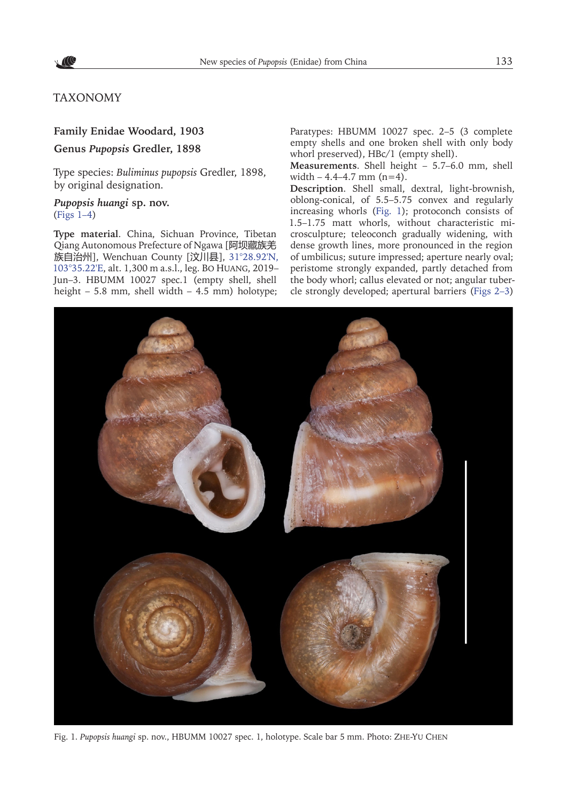

# TAXONOMY

### **Family Enidae Woodard, 1903**

**Genus** *Pupopsis* **Gredler, 1898**

Type species: *Buliminus pupopsis* Gredler, 1898, by original designation.

# *Pupopsis huangi* **sp. nov.**  $(Figs 1-4)$

**Type material**. China, Sichuan Province, Tibetan Qiang Autonomous Prefecture of Ngawa [阿坝藏族羌 族自治州], Wenchuan County [汶川县], [31°28.92'N,](https://goo.gl/maps/dreHVc3uKw3sxvBPA)  [103°35.22'E](https://goo.gl/maps/dreHVc3uKw3sxvBPA), alt. 1,300 m a.s.l., leg. Bo Huang, 2019– Jun–3. HBUMM 10027 spec.1 (empty shell, shell height – 5.8 mm, shell width – 4.5 mm) holotype;

Paratypes: HBUMM 10027 spec. 2-5 (3 complete empty shells and one broken shell with only body whorl preserved), HBc/1 (empty shell).

**Measurements**. Shell height – 5.7–6.0 mm, shell width  $-4.4-4.7$  mm  $(n=4)$ .

**Description**. Shell small, dextral, light-brownish, oblong-conical, of 5.5–5.75 convex and regularly increasing whorls (Fig. 1); protoconch consists of 1.5–1.75 matt whorls, without characteristic microsculpture; teleoconch gradually widening, with dense growth lines, more pronounced in the region of umbilicus; suture impressed; aperture nearly oval; peristome strongly expanded, partly detached from the body whorl; callus elevated or not; angular tubercle strongly developed; apertural barriers ([Figs 2–3](#page-2-5))



Fig. 1. *Pupopsis huangi* sp. nov., HBUMM 10027 spec. 1, holotype. Scale bar 5 mm. Photo: Zhe-Yu Chen